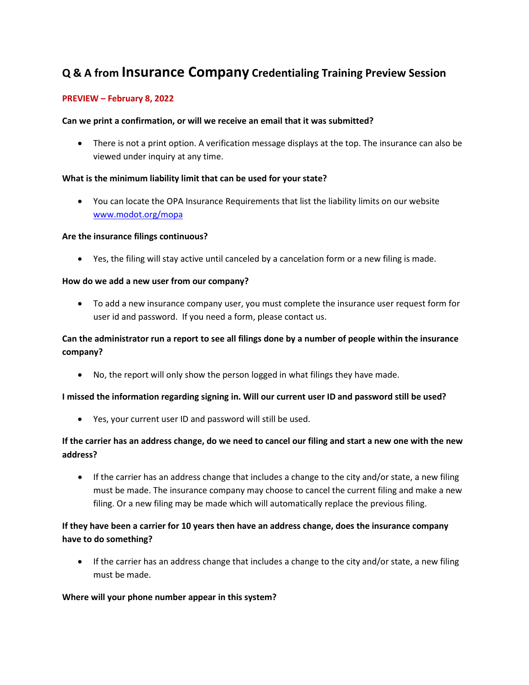# **Q & A from Insurance Company Credentialing Training Preview Session**

### **PREVIEW – February 8, 2022**

### **Can we print a confirmation, or will we receive an email that it was submitted?**

• There is not a print option. A verification message displays at the top. The insurance can also be viewed under inquiry at any time.

### **What is the minimum liability limit that can be used for your state?**

• You can locate the OPA Insurance Requirements that list the liability limits on our website [www.modot.org/mopa](http://www.modot.org/mopa)

### **Are the insurance filings continuous?**

• Yes, the filing will stay active until canceled by a cancelation form or a new filing is made.

### **How do we add a new user from our company?**

• To add a new insurance company user, you must complete the insurance user request form for user id and password. If you need a form, please contact us.

# **Can the administrator run a report to see all filings done by a number of people within the insurance company?**

• No, the report will only show the person logged in what filings they have made.

### **I missed the information regarding signing in. Will our current user ID and password still be used?**

• Yes, your current user ID and password will still be used.

## **If the carrier has an address change, do we need to cancel our filing and start a new one with the new address?**

• If the carrier has an address change that includes a change to the city and/or state, a new filing must be made. The insurance company may choose to cancel the current filing and make a new filing. Or a new filing may be made which will automatically replace the previous filing.

## **If they have been a carrier for 10 years then have an address change, does the insurance company have to do something?**

• If the carrier has an address change that includes a change to the city and/or state, a new filing must be made.

### **Where will your phone number appear in this system?**